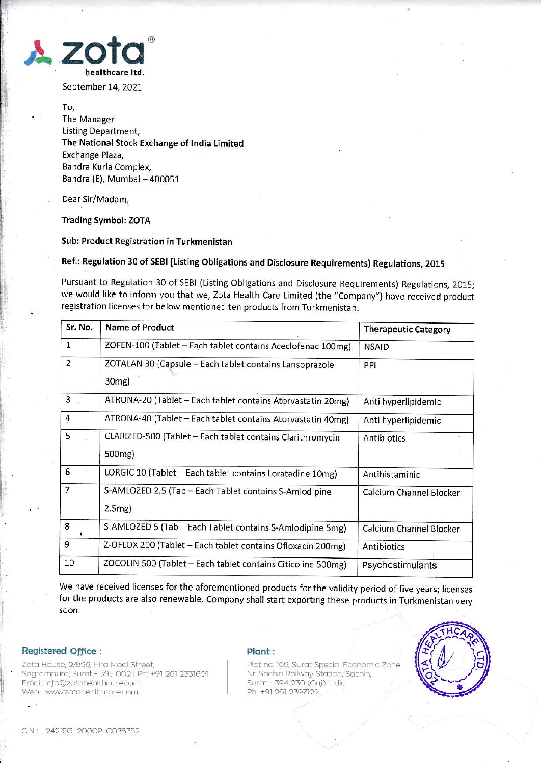

September 14, 2021

To, The Manager Listing Department, The National Stock Exchange ot lndia Limited Exchange Plaza, Bandra Kurla Comple& Bandra (E), Mumbai - 400051

Dear Sir/Madam,

Trading Symbol: ZOTA

Sub: Product Registration in Turkmenistan

Ref.: Regulation 30 of SEBI (Listing Obligations and Disclosure Requirements) Regulations, 2015

Pursuant to Regulation 30 of SEBI {Listing Obligations and Disclosure Requirements) Regulations, 2015; we would like to inform you that we, Zota Health Care Limited (the "Company") have received product registration licenses for below mentioned ten products from Turkmenistan.

| Sr. No.        | <b>Name of Product</b>                                                            | <b>Therapeutic Category</b> |
|----------------|-----------------------------------------------------------------------------------|-----------------------------|
| $\mathbf 1$    | ZOFEN-100 (Tablet - Each tablet contains Aceclofenac 100mg)                       | <b>NSAID</b>                |
| $\overline{2}$ | ZOTALAN 30 (Capsule - Each tablet contains Lansoprazole<br>30 <sub>mg</sub> )     | PPI                         |
| 3              | ATRONA-20 (Tablet - Each tablet contains Atorvastatin 20mg)                       | Anti hyperlipidemic         |
| 4              | ATRONA-40 (Tablet - Each tablet contains Atorvastatin 40mg)                       | Anti hyperlipidemic         |
| 5              | CLARIZED-500 (Tablet - Each tablet contains Clarithromycin<br>500 <sub>mg</sub> ) | Antibiotics                 |
| 6              | LORGIC 10 (Tablet - Each tablet contains Loratadine 10mg)                         | Antihistaminic              |
| $\overline{7}$ | S-AMLOZED 2.5 (Tab - Each Tablet contains S-Amlodipine<br>$2.5mg$ )               | Calcium Channel Blocker     |
| 8              | S-AMLOZED 5 (Tab - Each Tablet contains S-Amlodipine 5mg)                         | Calcium Channel Blocker     |
| 9              | Z-OFLOX 200 (Tablet - Each tablet contains Ofloxacin 200mg)                       | Antibiotics                 |
| 10             | ZOCOLIN 500 (Tablet - Each tablet contains Citicoline 500mg)                      | Psychostimulants            |

We have received licenses for the aforementioned products for the validity period of five years; licenses for the products are also renewable. Company shall start exporting these products in Turkmenistan very soon,

## Registered Office :

Zota House, 2/896, Hira Modi Street, Sagrampura, Surat - 395 002 | Ph: +91 261 2331601 Email: info@zotahealthcare.com Web : www.zotahealthcare.com

## Plont :

Plot no. 169, Surat Special Economic Zone. Nr. Sachin Railway Station, Sachin, Surat - 394 230 (Guj.) India Ph: +91 261 2397122